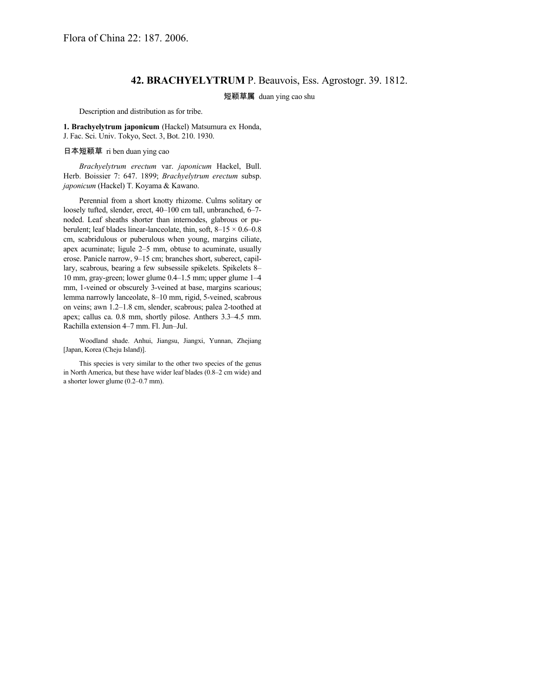## **42. BRACHYELYTRUM** P. Beauvois, Ess. Agrostogr. 39. 1812.

## 短颖草属 duan ying cao shu

Description and distribution as for tribe.

**1. Brachyelytrum japonicum** (Hackel) Matsumura ex Honda, J. Fac. Sci. Univ. Tokyo, Sect. 3, Bot. 210. 1930.

日本短颖草 ri ben duan ying cao

*Brachyelytrum erectum* var. *japonicum* Hackel, Bull. Herb. Boissier 7: 647. 1899; *Brachyelytrum erectum* subsp. *japonicum* (Hackel) T. Koyama & Kawano.

Perennial from a short knotty rhizome. Culms solitary or loosely tufted, slender, erect, 40–100 cm tall, unbranched, 6–7 noded. Leaf sheaths shorter than internodes, glabrous or puberulent; leaf blades linear-lanceolate, thin, soft,  $8-15 \times 0.6-0.8$ cm, scabridulous or puberulous when young, margins ciliate, apex acuminate; ligule 2–5 mm, obtuse to acuminate, usually erose. Panicle narrow, 9–15 cm; branches short, suberect, capillary, scabrous, bearing a few subsessile spikelets. Spikelets 8– 10 mm, gray-green; lower glume 0.4–1.5 mm; upper glume 1–4 mm, 1-veined or obscurely 3-veined at base, margins scarious; lemma narrowly lanceolate, 8–10 mm, rigid, 5-veined, scabrous on veins; awn 1.2–1.8 cm, slender, scabrous; palea 2-toothed at apex; callus ca. 0.8 mm, shortly pilose. Anthers 3.3–4.5 mm. Rachilla extension 4–7 mm. Fl. Jun–Jul.

Woodland shade. Anhui, Jiangsu, Jiangxi, Yunnan, Zhejiang [Japan, Korea (Cheju Island)].

This species is very similar to the other two species of the genus in North America, but these have wider leaf blades (0.8–2 cm wide) and a shorter lower glume (0.2–0.7 mm).